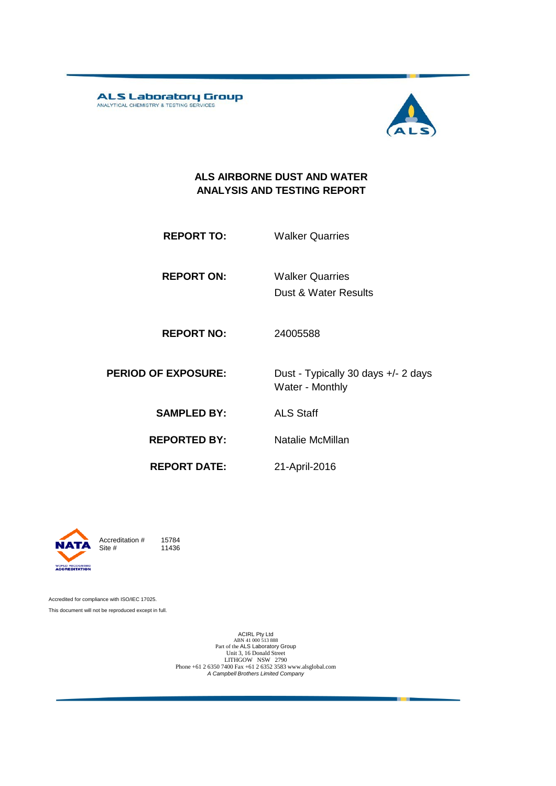ALS Laboratory Group



#### **ALS AIRBORNE DUST AND WATER ANALYSIS AND TESTING REPORT**

| <b>REPORT TO:</b> |  | <b>Walker Quarries</b> |
|-------------------|--|------------------------|
|                   |  |                        |

**REPORT ON:** Walker Quarries

Dust & Water Results

**REPORT NO:** 24005588

**PERIOD OF EXPOSURE:** Dust - Typically 30 days +/- 2 days Water - Monthly

**SAMPLED BY:** ALS Staff

**REPORTED BY:** Natalie McMillan

**REPORT DATE:** 21-April-2016



Accreditation  $\#$  15784<br>Site  $\#$  11436 11436

Accredited for compliance with ISO/IEC 17025. This document will not be reproduced except in full.

> ACIRL Pty Ltd<br>
> ABN 41 000 513 888<br>
> Part of the ALS Laboratory Group<br>
> Unit 3, 16 Donald Street LITHGOW NSW 2790 Phone +61 2 6350 7400 Fax +61 2 6352 3583 www.alsglobal.com *A Campbell Brothers Limited Company*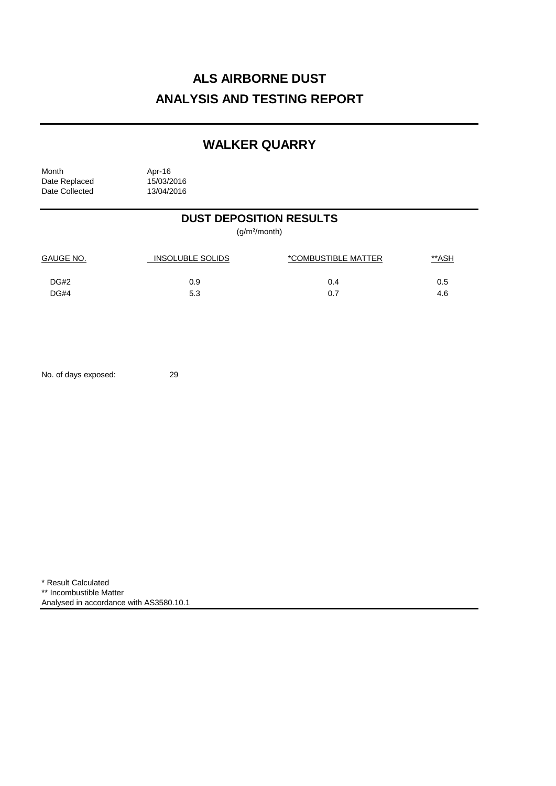## **WALKER QUARRY**

| Month          | Apr-16     |
|----------------|------------|
| Date Replaced  | 15/03/2016 |
| Date Collected | 13/04/2016 |

### **DUST DEPOSITION RESULTS**

(g/m²/month)

| <b>GAUGE NO.</b> | <b>INSOLUBLE SOLIDS</b> | *COMBUSTIBLE MATTER | <u>**ASH</u> |
|------------------|-------------------------|---------------------|--------------|
| DG#2             | 0.9                     | 0.4                 | 0.5          |
| DG#4             | 5.3                     | 0.7                 | 4.6          |

No. of days exposed: 29

\* Result Calculated \*\* Incombustible Matter Analysed in accordance with AS3580.10.1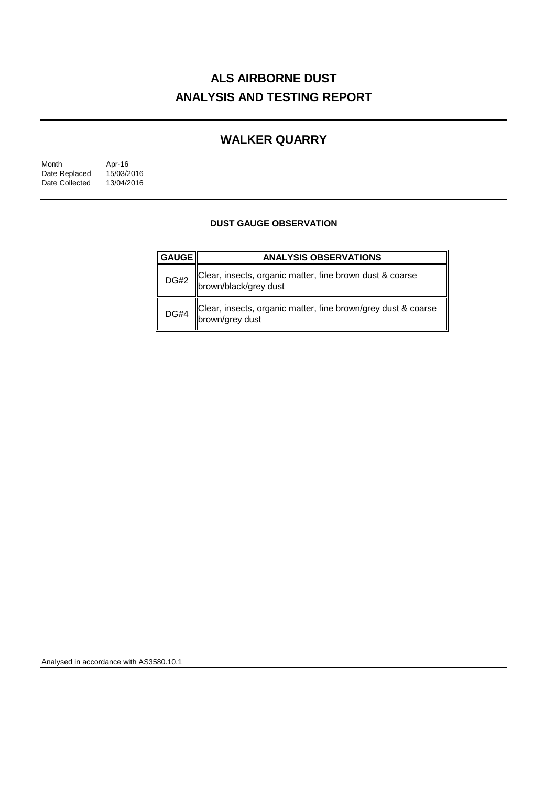### **WALKER QUARRY**

| Month          | Apr-16     |
|----------------|------------|
| Date Replaced  | 15/03/2016 |
| Date Collected | 13/04/2016 |

#### **DUST GAUGE OBSERVATION**

| <b>GAUGE</b> | <b>ANALYSIS OBSERVATIONS</b>                                                      |
|--------------|-----------------------------------------------------------------------------------|
| <b>DG#2</b>  | Clear, insects, organic matter, fine brown dust & coarse<br>brown/black/grey dust |
| <b>DG#4</b>  | Clear, insects, organic matter, fine brown/grey dust & coarse<br>brown/grey dust  |

Analysed in accordance with AS3580.10.1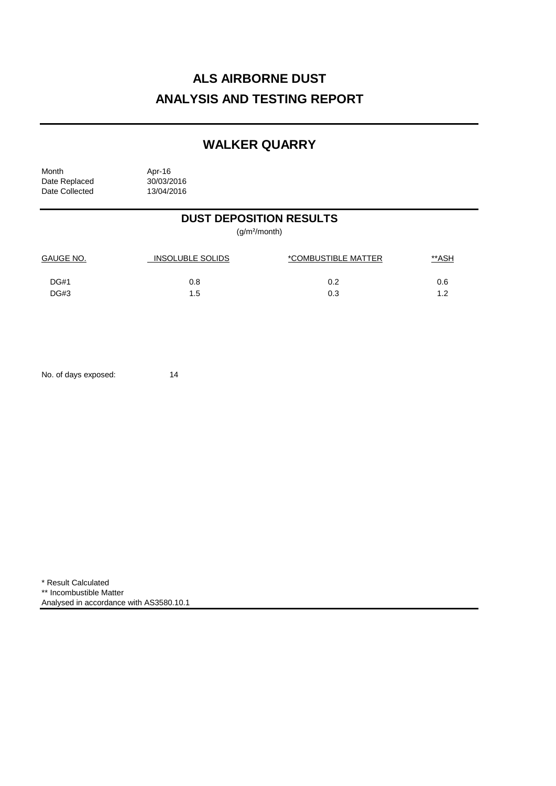## **WALKER QUARRY**

| Month          | Apr-16     |
|----------------|------------|
| Date Replaced  | 30/03/2016 |
| Date Collected | 13/04/2016 |

### **DUST DEPOSITION RESULTS**

(g/m²/month)

| <b>GAUGE NO.</b> | INSOLUBLE SOLIDS | *COMBUSTIBLE MATTER | <u>**ASH</u> |
|------------------|------------------|---------------------|--------------|
| DG#1             | 0.8              | 0.2                 | 0.6          |
| DG#3             | 1.5              | 0.3                 | 1.2          |

No. of days exposed: 14

\* Result Calculated \*\* Incombustible Matter Analysed in accordance with AS3580.10.1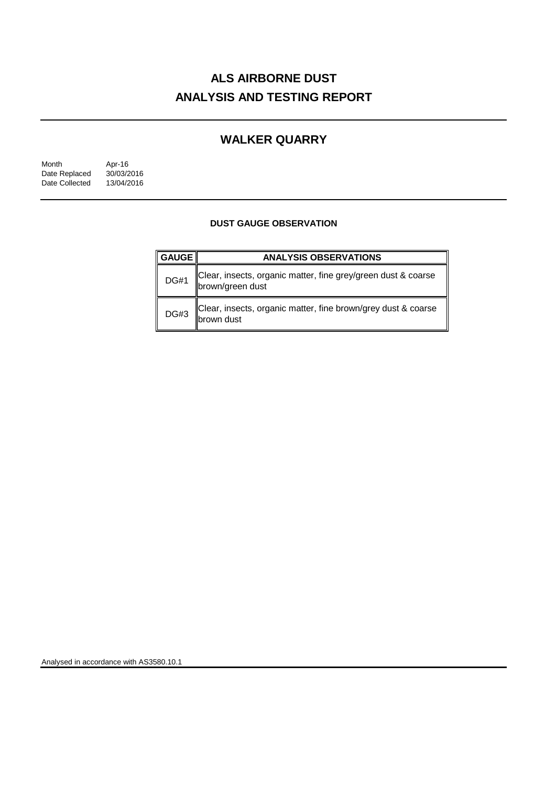### **WALKER QUARRY**

| Month          | Apr-16     |
|----------------|------------|
| Date Replaced  | 30/03/2016 |
| Date Collected | 13/04/2016 |

#### **DUST GAUGE OBSERVATION**

| <b>GAUGE </b> | <b>ANALYSIS OBSERVATIONS</b>                                                      |
|---------------|-----------------------------------------------------------------------------------|
| <b>DG#1</b>   | Clear, insects, organic matter, fine grey/green dust & coarse<br>brown/green dust |
| <b>DG#3</b>   | Clear, insects, organic matter, fine brown/grey dust & coarse<br>brown dust       |

Analysed in accordance with AS3580.10.1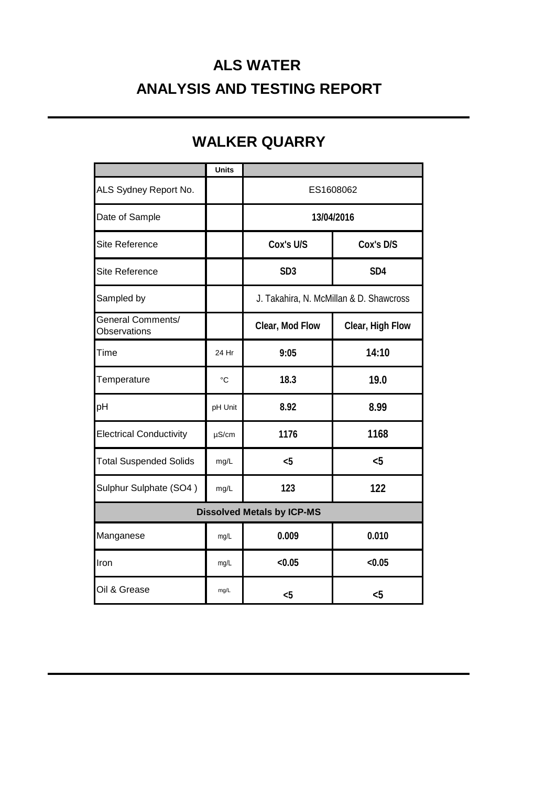# **ALS WATER ANALYSIS AND TESTING REPORT**

|                                                 | <b>Units</b>      |                 |                                         |  |
|-------------------------------------------------|-------------------|-----------------|-----------------------------------------|--|
| ALS Sydney Report No.                           |                   | ES1608062       |                                         |  |
| Date of Sample                                  |                   |                 | 13/04/2016                              |  |
| <b>Site Reference</b>                           |                   | Cox's U/S       | Cox's D/S                               |  |
| Site Reference                                  |                   | SD <sub>3</sub> | SD <sub>4</sub>                         |  |
| Sampled by                                      |                   |                 | J. Takahira, N. McMillan & D. Shawcross |  |
| <b>General Comments/</b><br><b>Observations</b> |                   | Clear, Mod Flow | Clear, High Flow                        |  |
| Time                                            | 24 Hr             | 9:05            | 14:10                                   |  |
| Temperature                                     | $^{\circ}{\rm C}$ | 18.3            | 19.0                                    |  |
| pH                                              | pH Unit           | 8.92            | 8.99                                    |  |
| <b>Electrical Conductivity</b>                  | $\mu$ S/cm        | 1176            | 1168                                    |  |
| <b>Total Suspended Solids</b>                   | mg/L              | $5$             | $5$                                     |  |
| Sulphur Sulphate (SO4)                          | mg/L              | 123             | 122                                     |  |
| <b>Dissolved Metals by ICP-MS</b>               |                   |                 |                                         |  |
| Manganese                                       | mg/L              | 0.009           | 0.010                                   |  |
| Iron                                            | mg/L              | < 0.05          | < 0.05                                  |  |
| Oil & Grease                                    | mg/L              | $5$             | $5$                                     |  |

## **WALKER QUARRY**